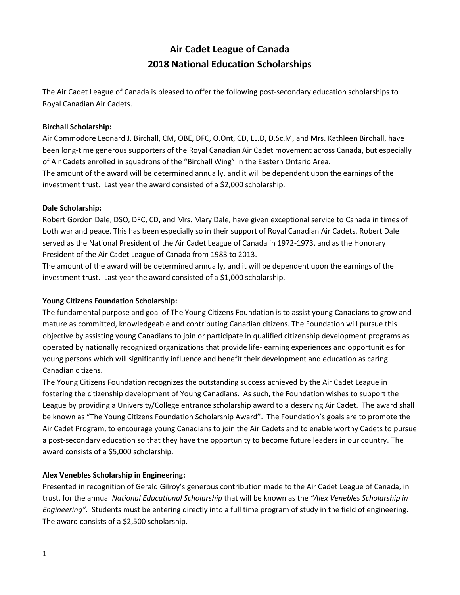# **Air Cadet League of Canada 2018 National Education Scholarships**

The Air Cadet League of Canada is pleased to offer the following post-secondary education scholarships to Royal Canadian Air Cadets.

#### **Birchall Scholarship:**

Air Commodore Leonard J. Birchall, CM, OBE, DFC, O.Ont, CD, LL.D, D.Sc.M, and Mrs. Kathleen Birchall, have been long-time generous supporters of the Royal Canadian Air Cadet movement across Canada, but especially of Air Cadets enrolled in squadrons of the "Birchall Wing" in the Eastern Ontario Area. The amount of the award will be determined annually, and it will be dependent upon the earnings of the investment trust. Last year the award consisted of a \$2,000 scholarship.

### **Dale Scholarship:**

Robert Gordon Dale, DSO, DFC, CD, and Mrs. Mary Dale, have given exceptional service to Canada in times of both war and peace. This has been especially so in their support of Royal Canadian Air Cadets. Robert Dale served as the National President of the Air Cadet League of Canada in 1972-1973, and as the Honorary President of the Air Cadet League of Canada from 1983 to 2013.

The amount of the award will be determined annually, and it will be dependent upon the earnings of the investment trust. Last year the award consisted of a \$1,000 scholarship.

# **Young Citizens Foundation Scholarship:**

The fundamental purpose and goal of The Young Citizens Foundation is to assist young Canadians to grow and mature as committed, knowledgeable and contributing Canadian citizens. The Foundation will pursue this objective by assisting young Canadians to join or participate in qualified citizenship development programs as operated by nationally recognized organizations that provide life-learning experiences and opportunities for young persons which will significantly influence and benefit their development and education as caring Canadian citizens.

The Young Citizens Foundation recognizes the outstanding success achieved by the Air Cadet League in fostering the citizenship development of Young Canadians. As such, the Foundation wishes to support the League by providing a University/College entrance scholarship award to a deserving Air Cadet. The award shall be known as "The Young Citizens Foundation Scholarship Award". The Foundation's goals are to promote the Air Cadet Program, to encourage young Canadians to join the Air Cadets and to enable worthy Cadets to pursue a post-secondary education so that they have the opportunity to become future leaders in our country. The award consists of a \$5,000 scholarship.

# **Alex Venebles Scholarship in Engineering:**

Presented in recognition of Gerald Gilroy's generous contribution made to the Air Cadet League of Canada, in trust, for the annual *National Educational Scholarship* that will be known as the *"Alex Venebles Scholarship in Engineering".* Students must be entering directly into a full time program of study in the field of engineering. The award consists of a \$2,500 scholarship.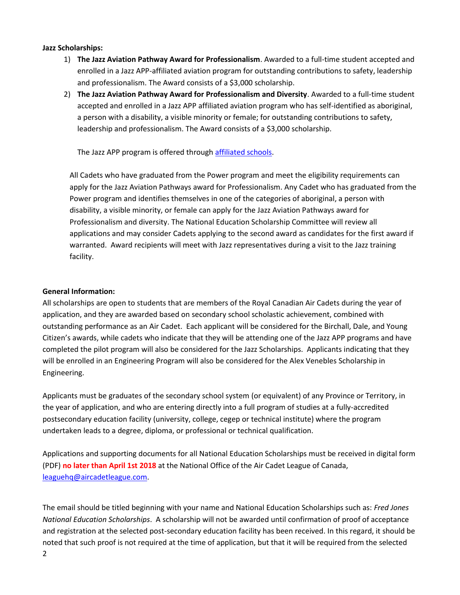#### **Jazz Scholarships:**

- 1) **The Jazz Aviation Pathway Award for Professionalism**. Awarded to a full-time student accepted and enrolled in a Jazz APP-affiliated aviation program for outstanding contributions to safety, leadership and professionalism. The Award consists of a \$3,000 scholarship.
- 2) **The Jazz Aviation Pathway Award for Professionalism and Diversity**. Awarded to a full-time student accepted and enrolled in a Jazz APP affiliated aviation program who has self-identified as aboriginal, a person with a disability, a visible minority or female; for outstanding contributions to safety, leadership and professionalism. The Award consists of a \$3,000 scholarship.

The Jazz APP program is offered through [affiliated schools.](http://www.flyjazz.ca/en/home/aboutjazz/careers/jazzapp/default.aspx)

All Cadets who have graduated from the Power program and meet the eligibility requirements can apply for the Jazz Aviation Pathways award for Professionalism. Any Cadet who has graduated from the Power program and identifies themselves in one of the categories of aboriginal, a person with disability, a visible minority, or female can apply for the Jazz Aviation Pathways award for Professionalism and diversity. The National Education Scholarship Committee will review all applications and may consider Cadets applying to the second award as candidates for the first award if warranted. Award recipients will meet with Jazz representatives during a visit to the Jazz training facility.

### **General Information:**

All scholarships are open to students that are members of the Royal Canadian Air Cadets during the year of application, and they are awarded based on secondary school scholastic achievement, combined with outstanding performance as an Air Cadet. Each applicant will be considered for the Birchall, Dale, and Young Citizen's awards, while cadets who indicate that they will be attending one of the Jazz APP programs and have completed the pilot program will also be considered for the Jazz Scholarships. Applicants indicating that they will be enrolled in an Engineering Program will also be considered for the Alex Venebles Scholarship in Engineering.

Applicants must be graduates of the secondary school system (or equivalent) of any Province or Territory, in the year of application, and who are entering directly into a full program of studies at a fully-accredited postsecondary education facility (university, college, cegep or technical institute) where the program undertaken leads to a degree, diploma, or professional or technical qualification.

Applications and supporting documents for all National Education Scholarships must be received in digital form (PDF) **no later than April 1st 2018** at the National Office of the Air Cadet League of Canada, [leaguehq@aircadetleague.com.](mailto:leaguehq@aircadetleague.com)

The email should be titled beginning with your name and National Education Scholarships such as: *Fred Jones National Education Scholarships*. A scholarship will not be awarded until confirmation of proof of acceptance and registration at the selected post-secondary education facility has been received. In this regard, it should be noted that such proof is not required at the time of application, but that it will be required from the selected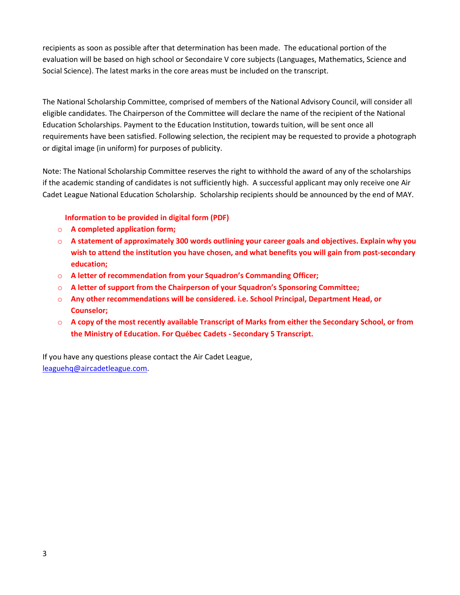recipients as soon as possible after that determination has been made. The educational portion of the evaluation will be based on high school or Secondaire V core subjects (Languages, Mathematics, Science and Social Science). The latest marks in the core areas must be included on the transcript.

The National Scholarship Committee, comprised of members of the National Advisory Council, will consider all eligible candidates. The Chairperson of the Committee will declare the name of the recipient of the National Education Scholarships. Payment to the Education Institution, towards tuition, will be sent once all requirements have been satisfied. Following selection, the recipient may be requested to provide a photograph or digital image (in uniform) for purposes of publicity.

Note: The National Scholarship Committee reserves the right to withhold the award of any of the scholarships if the academic standing of candidates is not sufficiently high. A successful applicant may only receive one Air Cadet League National Education Scholarship. Scholarship recipients should be announced by the end of MAY.

# **Information to be provided in digital form (PDF)**

- o **A completed application form;**
- o **A statement of approximately 300 words outlining your career goals and objectives. Explain why you wish to attend the institution you have chosen, and what benefits you will gain from post-secondary education;**
- o **A letter of recommendation from your Squadron's Commanding Officer;**
- o **A letter of support from the Chairperson of your Squadron's Sponsoring Committee;**
- o **Any other recommendations will be considered. i.e. School Principal, Department Head, or Counselor;**
- o **A copy of the most recently available Transcript of Marks from either the Secondary School, or from the Ministry of Education. For Québec Cadets - Secondary 5 Transcript.**

If you have any questions please contact the Air Cadet League, [leaguehq@aircadetleague.com.](mailto:leaguehq@aircadetleague.com)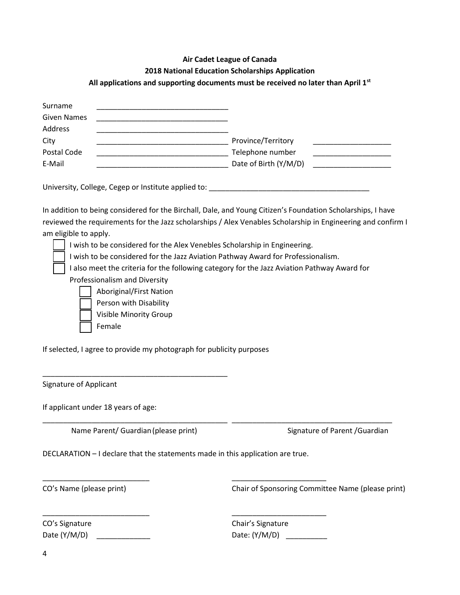#### **Air Cadet League of Canada**

### **2018 National Education Scholarships Application**

# **All applications and supporting documents must be received no later than April 1st**

| Surname            |                       |  |
|--------------------|-----------------------|--|
| <b>Given Names</b> |                       |  |
| Address            |                       |  |
| City               | Province/Territory    |  |
| Postal Code        | Telephone number      |  |
| E-Mail             | Date of Birth (Y/M/D) |  |

University, College, Cegep or Institute applied to: \_\_\_\_\_\_\_\_\_\_\_\_\_\_\_\_\_\_\_\_\_\_\_\_\_\_\_\_

In addition to being considered for the Birchall, Dale, and Young Citizen's Foundation Scholarships, I have reviewed the requirements for the Jazz scholarships / Alex Venables Scholarship in Engineering and confirm I am eligible to apply.

I wish to be considered for the Alex Venebles Scholarship in Engineering.

I wish to be considered for the Jazz Aviation Pathway Award for Professionalism.

I also meet the criteria for the following category for the Jazz Aviation Pathway Award for Professionalism and Diversity

\_\_\_\_\_\_\_\_\_\_\_\_\_\_\_\_\_\_\_\_\_\_\_\_\_\_\_\_\_\_\_\_\_\_\_\_\_\_\_\_\_\_\_\_\_ \_\_\_\_\_\_\_\_\_\_\_\_\_\_\_\_\_\_\_\_\_\_\_\_\_\_\_\_\_\_\_\_\_\_\_\_\_\_\_

| Aboriginal/First Nation Person with Disability Visible Minority Group

**Female** 

If selected, I agree to provide my photograph for publicity purposes

Signature of Applicant

If applicant under 18 years of age:

Name Parent/ Guardian (please print) Signature of Parent / Guardian

\_\_\_\_\_\_\_\_\_\_\_\_\_\_\_\_\_\_\_\_\_\_\_\_\_\_\_\_\_\_\_\_\_\_\_\_\_\_\_\_\_\_\_\_\_

DECLARATION – I declare that the statements made in this application are true.

\_\_\_\_\_\_\_\_\_\_\_\_\_\_\_\_\_\_\_\_\_\_\_\_\_\_ \_\_\_\_\_\_\_\_\_\_\_\_\_\_\_\_\_\_\_\_\_\_\_

\_\_\_\_\_\_\_\_\_\_\_\_\_\_\_\_\_\_\_\_\_\_\_\_\_\_ \_\_\_\_\_\_\_\_\_\_\_\_\_\_\_\_\_\_\_\_\_\_\_

CO's Name (please print) Chair of Sponsoring Committee Name (please print)

CO's Signature CO's Signature CO's Signature

Date (Y/M/D) \_\_\_\_\_\_\_\_\_\_\_\_\_ Date: (Y/M/D) \_\_\_\_\_\_\_\_\_\_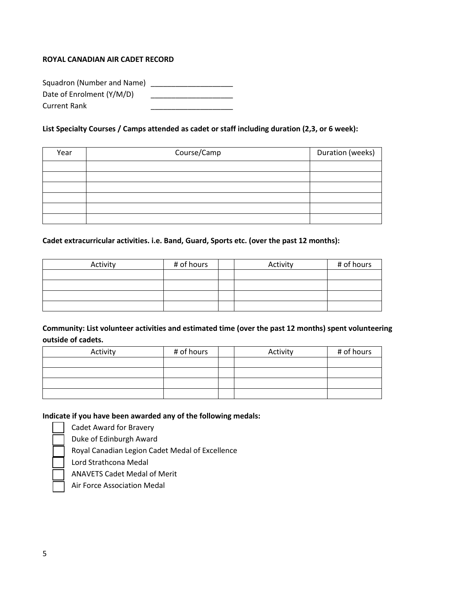### **ROYAL CANADIAN AIR CADET RECORD**

| Squadron (Number and Name) |  |
|----------------------------|--|
| Date of Enrolment (Y/M/D)  |  |
| <b>Current Rank</b>        |  |

#### **List Specialty Courses / Camps attended as cadet or staff including duration (2,3, or 6 week):**

| Year | Course/Camp | Duration (weeks) |
|------|-------------|------------------|
|      |             |                  |
|      |             |                  |
|      |             |                  |
|      |             |                  |
|      |             |                  |
|      |             |                  |

#### **Cadet extracurricular activities. i.e. Band, Guard, Sports etc. (over the past 12 months):**

| Activity | # of hours | Activity | # of hours |
|----------|------------|----------|------------|
|          |            |          |            |
|          |            |          |            |
|          |            |          |            |
|          |            |          |            |

# **Community: List volunteer activities and estimated time (over the past 12 months) spent volunteering outside of cadets.**

| Activity | # of hours | Activity | # of hours |
|----------|------------|----------|------------|
|          |            |          |            |
|          |            |          |            |
|          |            |          |            |
|          |            |          |            |

**Indicate if you have been awarded any of the following medals:** 

Cadet Award for Bravery

Duke of Edinburgh Award

Royal Canadian Legion Cadet Medal of Excellence

Lord Strathcona Medal

ANAVETS Cadet Medal of Merit

Air Force Association Medal